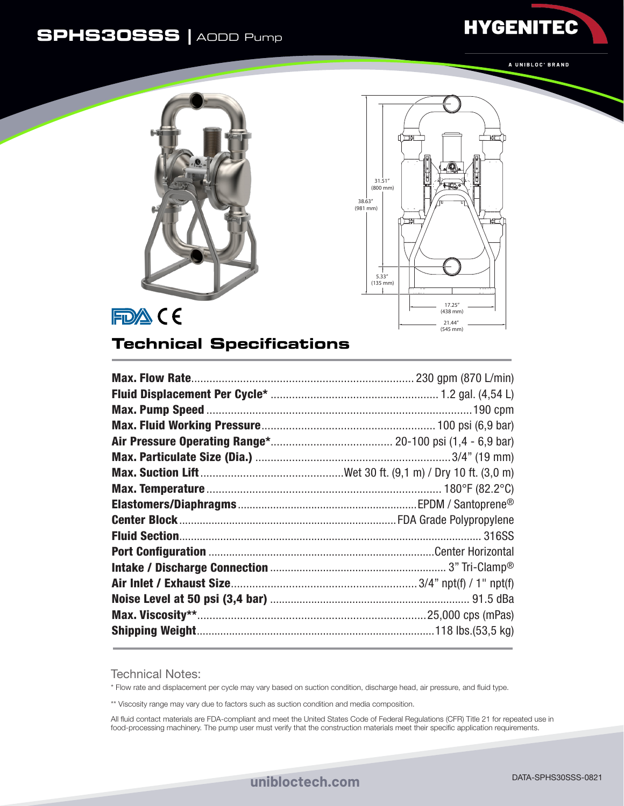## **SPHS30SSS |** AODD Pump



**HYGENITEC** 





## **Technical Specifications**

Technical Notes:

\* Flow rate and displacement per cycle may vary based on suction condition, discharge head, air pressure, and fluid type.

\*\* Viscosity range may vary due to factors such as suction condition and media composition.

All fluid contact materials are FDA-compliant and meet the United States Code of Federal Regulations (CFR) Title 21 for repeated use in food-processing machinery. The pump user must verify that the construction materials meet their specific application requirements.